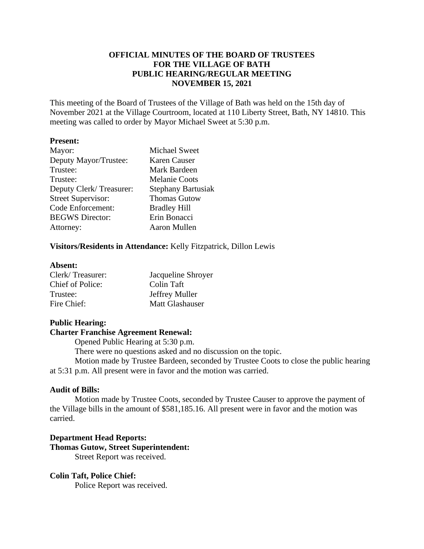# **OFFICIAL MINUTES OF THE BOARD OF TRUSTEES FOR THE VILLAGE OF BATH PUBLIC HEARING/REGULAR MEETING NOVEMBER 15, 2021**

This meeting of the Board of Trustees of the Village of Bath was held on the 15th day of November 2021 at the Village Courtroom, located at 110 Liberty Street, Bath, NY 14810. This meeting was called to order by Mayor Michael Sweet at 5:30 p.m.

## **Present:**

| Mayor:                    | <b>Michael Sweet</b>      |
|---------------------------|---------------------------|
| Deputy Mayor/Trustee:     | Karen Causer              |
| Trustee:                  | Mark Bardeen              |
| Trustee:                  | <b>Melanie Coots</b>      |
| Deputy Clerk/Treasurer:   | <b>Stephany Bartusiak</b> |
| <b>Street Supervisor:</b> | <b>Thomas Gutow</b>       |
| <b>Code Enforcement:</b>  | <b>Bradley Hill</b>       |
| <b>BEGWS</b> Director:    | Erin Bonacci              |
| Attorney:                 | Aaron Mullen              |
|                           |                           |

## **Visitors/Residents in Attendance:** Kelly Fitzpatrick, Dillon Lewis

### **Absent:**

| Clerk/Treasurer: | Jacqueline Shroyer    |
|------------------|-----------------------|
| Chief of Police: | Colin Taft            |
| Trustee:         | <b>Jeffrey Muller</b> |
| Fire Chief:      | Matt Glashauser       |

## **Public Hearing:**

## **Charter Franchise Agreement Renewal:**

Opened Public Hearing at 5:30 p.m.

There were no questions asked and no discussion on the topic.

Motion made by Trustee Bardeen, seconded by Trustee Coots to close the public hearing at 5:31 p.m. All present were in favor and the motion was carried.

# **Audit of Bills:**

Motion made by Trustee Coots, seconded by Trustee Causer to approve the payment of the Village bills in the amount of \$581,185.16. All present were in favor and the motion was carried.

## **Department Head Reports: Thomas Gutow, Street Superintendent:**

Street Report was received.

# **Colin Taft, Police Chief:**

Police Report was received.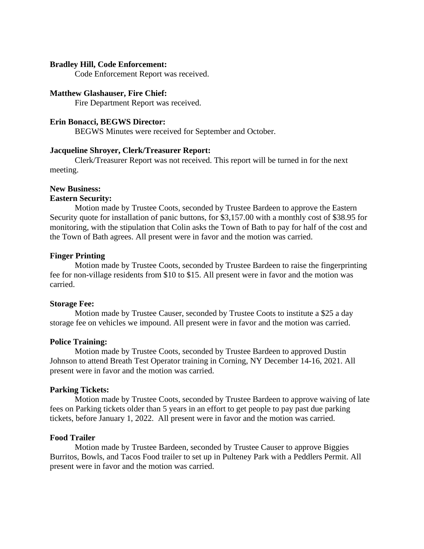## **Bradley Hill, Code Enforcement:**

Code Enforcement Report was received.

#### **Matthew Glashauser, Fire Chief:**

Fire Department Report was received.

## **Erin Bonacci, BEGWS Director:**

BEGWS Minutes were received for September and October.

### **Jacqueline Shroyer, Clerk/Treasurer Report:**

Clerk/Treasurer Report was not received. This report will be turned in for the next meeting.

#### **New Business:**

#### **Eastern Security:**

Motion made by Trustee Coots, seconded by Trustee Bardeen to approve the Eastern Security quote for installation of panic buttons, for \$3,157.00 with a monthly cost of \$38.95 for monitoring, with the stipulation that Colin asks the Town of Bath to pay for half of the cost and the Town of Bath agrees. All present were in favor and the motion was carried.

### **Finger Printing**

Motion made by Trustee Coots, seconded by Trustee Bardeen to raise the fingerprinting fee for non-village residents from \$10 to \$15. All present were in favor and the motion was carried.

#### **Storage Fee:**

Motion made by Trustee Causer, seconded by Trustee Coots to institute a \$25 a day storage fee on vehicles we impound. All present were in favor and the motion was carried.

#### **Police Training:**

Motion made by Trustee Coots, seconded by Trustee Bardeen to approved Dustin Johnson to attend Breath Test Operator training in Corning, NY December 14-16, 2021. All present were in favor and the motion was carried.

### **Parking Tickets:**

Motion made by Trustee Coots, seconded by Trustee Bardeen to approve waiving of late fees on Parking tickets older than 5 years in an effort to get people to pay past due parking tickets, before January 1, 2022. All present were in favor and the motion was carried.

#### **Food Trailer**

Motion made by Trustee Bardeen, seconded by Trustee Causer to approve Biggies Burritos, Bowls, and Tacos Food trailer to set up in Pulteney Park with a Peddlers Permit. All present were in favor and the motion was carried.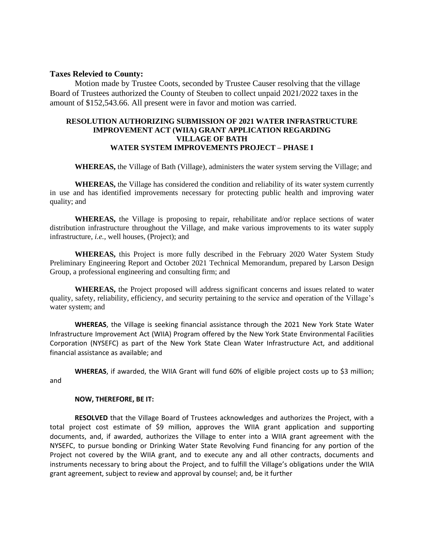#### **Taxes Relevied to County:**

Motion made by Trustee Coots, seconded by Trustee Causer resolving that the village Board of Trustees authorized the County of Steuben to collect unpaid 2021/2022 taxes in the amount of \$152,543.66. All present were in favor and motion was carried.

### **RESOLUTION AUTHORIZING SUBMISSION OF 2021 WATER INFRASTRUCTURE IMPROVEMENT ACT (WIIA) GRANT APPLICATION REGARDING VILLAGE OF BATH WATER SYSTEM IMPROVEMENTS PROJECT – PHASE I**

**WHEREAS,** the Village of Bath (Village), administers the water system serving the Village; and

**WHEREAS,** the Village has considered the condition and reliability of its water system currently in use and has identified improvements necessary for protecting public health and improving water quality; and

**WHEREAS,** the Village is proposing to repair, rehabilitate and/or replace sections of water distribution infrastructure throughout the Village, and make various improvements to its water supply infrastructure, *i.e.,* well houses, (Project); and

**WHEREAS,** this Project is more fully described in the February 2020 Water System Study Preliminary Engineering Report and October 2021 Technical Memorandum, prepared by Larson Design Group, a professional engineering and consulting firm; and

**WHEREAS,** the Project proposed will address significant concerns and issues related to water quality, safety, reliability, efficiency, and security pertaining to the service and operation of the Village's water system; and

**WHEREAS**, the Village is seeking financial assistance through the 2021 New York State Water Infrastructure Improvement Act (WIIA) Program offered by the New York State Environmental Facilities Corporation (NYSEFC) as part of the New York State Clean Water Infrastructure Act, and additional financial assistance as available; and

**WHEREAS**, if awarded, the WIIA Grant will fund 60% of eligible project costs up to \$3 million; and

#### **NOW, THEREFORE, BE IT:**

**RESOLVED** that the Village Board of Trustees acknowledges and authorizes the Project, with a total project cost estimate of \$9 million, approves the WIIA grant application and supporting documents, and, if awarded, authorizes the Village to enter into a WIIA grant agreement with the NYSEFC, to pursue bonding or Drinking Water State Revolving Fund financing for any portion of the Project not covered by the WIIA grant, and to execute any and all other contracts, documents and instruments necessary to bring about the Project, and to fulfill the Village's obligations under the WIIA grant agreement, subject to review and approval by counsel; and, be it further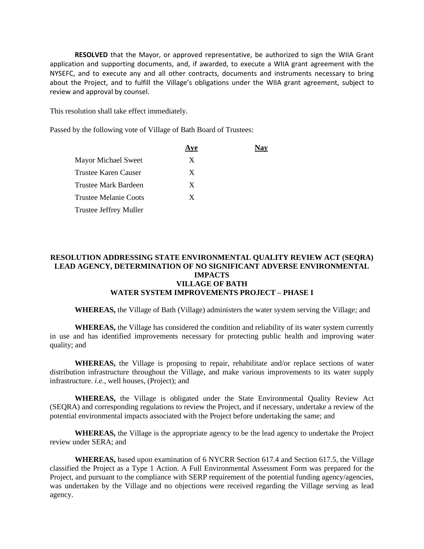**RESOLVED** that the Mayor, or approved representative, be authorized to sign the WIIA Grant application and supporting documents, and, if awarded, to execute a WIIA grant agreement with the NYSEFC, and to execute any and all other contracts, documents and instruments necessary to bring about the Project, and to fulfill the Village's obligations under the WIIA grant agreement, subject to review and approval by counsel.

This resolution shall take effect immediately.

Passed by the following vote of Village of Bath Board of Trustees:

|                               | Aye | Nav |
|-------------------------------|-----|-----|
| <b>Mayor Michael Sweet</b>    | X   |     |
| Trustee Karen Causer          | X   |     |
| Trustee Mark Bardeen          | X   |     |
| Trustee Melanie Coots         | X   |     |
| <b>Trustee Jeffrey Muller</b> |     |     |

## **RESOLUTION ADDRESSING STATE ENVIRONMENTAL QUALITY REVIEW ACT (SEQRA) LEAD AGENCY, DETERMINATION OF NO SIGNIFICANT ADVERSE ENVIRONMENTAL IMPACTS VILLAGE OF BATH WATER SYSTEM IMPROVEMENTS PROJECT – PHASE I**

**WHEREAS,** the Village of Bath (Village) administers the water system serving the Village; and

**WHEREAS,** the Village has considered the condition and reliability of its water system currently in use and has identified improvements necessary for protecting public health and improving water quality; and

**WHEREAS,** the Village is proposing to repair, rehabilitate and/or replace sections of water distribution infrastructure throughout the Village, and make various improvements to its water supply infrastructure. *i.e.,* well houses, (Project); and

**WHEREAS,** the Village is obligated under the State Environmental Quality Review Act (SEQRA) and corresponding regulations to review the Project, and if necessary, undertake a review of the potential environmental impacts associated with the Project before undertaking the same; and

**WHEREAS,** the Village is the appropriate agency to be the lead agency to undertake the Project review under SERA; and

**WHEREAS,** based upon examination of 6 NYCRR Section 617.4 and Section 617.5, the Village classified the Project as a Type 1 Action. A Full Environmental Assessment Form was prepared for the Project, and pursuant to the compliance with SERP requirement of the potential funding agency/agencies, was undertaken by the Village and no objections were received regarding the Village serving as lead agency.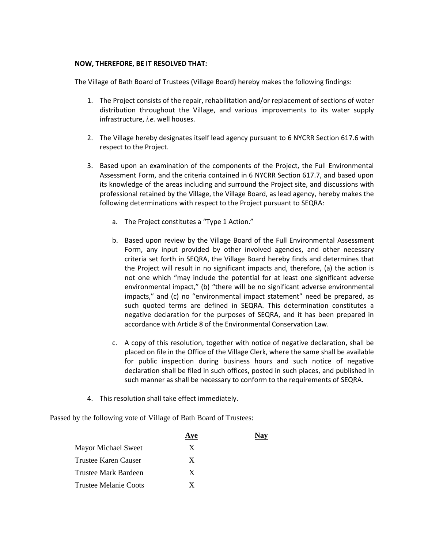### **NOW, THEREFORE, BE IT RESOLVED THAT:**

The Village of Bath Board of Trustees (Village Board) hereby makes the following findings:

- 1. The Project consists of the repair, rehabilitation and/or replacement of sections of water distribution throughout the Village, and various improvements to its water supply infrastructure, *i.e.* well houses.
- 2. The Village hereby designates itself lead agency pursuant to 6 NYCRR Section 617.6 with respect to the Project.
- 3. Based upon an examination of the components of the Project, the Full Environmental Assessment Form, and the criteria contained in 6 NYCRR Section 617.7, and based upon its knowledge of the areas including and surround the Project site, and discussions with professional retained by the Village, the Village Board, as lead agency, hereby makes the following determinations with respect to the Project pursuant to SEQRA:
	- a. The Project constitutes a "Type 1 Action."
	- b. Based upon review by the Village Board of the Full Environmental Assessment Form, any input provided by other involved agencies, and other necessary criteria set forth in SEQRA, the Village Board hereby finds and determines that the Project will result in no significant impacts and, therefore, (a) the action is not one which "may include the potential for at least one significant adverse environmental impact," (b) "there will be no significant adverse environmental impacts," and (c) no "environmental impact statement" need be prepared, as such quoted terms are defined in SEQRA. This determination constitutes a negative declaration for the purposes of SEQRA, and it has been prepared in accordance with Article 8 of the Environmental Conservation Law.
	- c. A copy of this resolution, together with notice of negative declaration, shall be placed on file in the Office of the Village Clerk, where the same shall be available for public inspection during business hours and such notice of negative declaration shall be filed in such offices, posted in such places, and published in such manner as shall be necessary to conform to the requirements of SEQRA.
- 4. This resolution shall take effect immediately.

Passed by the following vote of Village of Bath Board of Trustees:

| Ave |  |
|-----|--|
| X   |  |
| X   |  |
| X   |  |
| X   |  |
|     |  |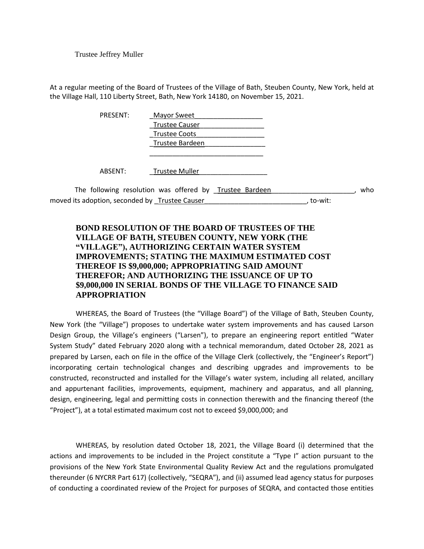Trustee Jeffrey Muller

At a regular meeting of the Board of Trustees of the Village of Bath, Steuben County, New York, held at the Village Hall, 110 Liberty Street, Bath, New York 14180, on November 15, 2021.

| PRESENT: | <b>Mayor Sweet</b>                                      |     |
|----------|---------------------------------------------------------|-----|
|          | <b>Trustee Causer</b>                                   |     |
|          | <b>Trustee Coots</b>                                    |     |
|          | Trustee Bardeen                                         |     |
|          |                                                         |     |
| ABSENT:  | <b>Trustee Muller</b>                                   |     |
|          | The following resolution was offered by Trustee Bardeen | who |

moved its adoption, seconded by Trustee Causer \_\_\_\_\_\_\_\_\_\_\_\_\_\_\_\_\_\_\_\_\_\_\_\_\_\_\_, to-wit:

# **BOND RESOLUTION OF THE BOARD OF TRUSTEES OF THE VILLAGE OF BATH, STEUBEN COUNTY, NEW YORK (THE "VILLAGE"), AUTHORIZING CERTAIN WATER SYSTEM IMPROVEMENTS; STATING THE MAXIMUM ESTIMATED COST THEREOF IS \$9,000,000; APPROPRIATING SAID AMOUNT THEREFOR; AND AUTHORIZING THE ISSUANCE OF UP TO \$9,000,000 IN SERIAL BONDS OF THE VILLAGE TO FINANCE SAID APPROPRIATION**

WHEREAS, the Board of Trustees (the "Village Board") of the Village of Bath, Steuben County, New York (the "Village") proposes to undertake water system improvements and has caused Larson Design Group, the Village's engineers ("Larsen"), to prepare an engineering report entitled "Water System Study" dated February 2020 along with a technical memorandum, dated October 28, 2021 as prepared by Larsen, each on file in the office of the Village Clerk (collectively, the "Engineer's Report") incorporating certain technological changes and describing upgrades and improvements to be constructed, reconstructed and installed for the Village's water system, including all related, ancillary and appurtenant facilities, improvements, equipment, machinery and apparatus, and all planning, design, engineering, legal and permitting costs in connection therewith and the financing thereof (the "Project"), at a total estimated maximum cost not to exceed \$9,000,000; and

WHEREAS, by resolution dated October 18, 2021, the Village Board (i) determined that the actions and improvements to be included in the Project constitute a "Type I" action pursuant to the provisions of the New York State Environmental Quality Review Act and the regulations promulgated thereunder (6 NYCRR Part 617) (collectively, "SEQRA"), and (ii) assumed lead agency status for purposes of conducting a coordinated review of the Project for purposes of SEQRA, and contacted those entities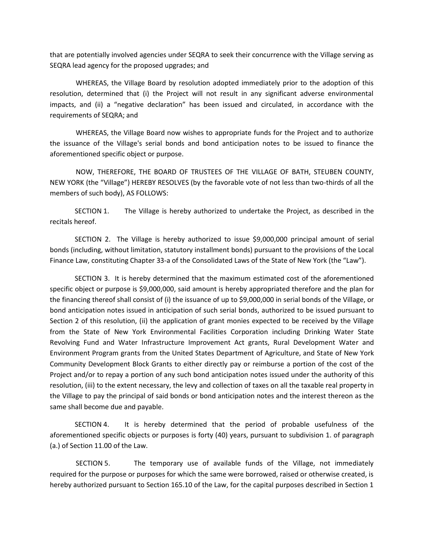that are potentially involved agencies under SEQRA to seek their concurrence with the Village serving as SEQRA lead agency for the proposed upgrades; and

WHEREAS, the Village Board by resolution adopted immediately prior to the adoption of this resolution, determined that (i) the Project will not result in any significant adverse environmental impacts, and (ii) a "negative declaration" has been issued and circulated, in accordance with the requirements of SEQRA; and

WHEREAS, the Village Board now wishes to appropriate funds for the Project and to authorize the issuance of the Village's serial bonds and bond anticipation notes to be issued to finance the aforementioned specific object or purpose.

NOW, THEREFORE, THE BOARD OF TRUSTEES OF THE VILLAGE OF BATH, STEUBEN COUNTY, NEW YORK (the "Village") HEREBY RESOLVES (by the favorable vote of not less than two-thirds of all the members of such body), AS FOLLOWS:

SECTION 1. The Village is hereby authorized to undertake the Project, as described in the recitals hereof.

SECTION 2. The Village is hereby authorized to issue \$9,000,000 principal amount of serial bonds (including, without limitation, statutory installment bonds) pursuant to the provisions of the Local Finance Law, constituting Chapter 33-a of the Consolidated Laws of the State of New York (the "Law").

SECTION 3. It is hereby determined that the maximum estimated cost of the aforementioned specific object or purpose is \$9,000,000, said amount is hereby appropriated therefore and the plan for the financing thereof shall consist of (i) the issuance of up to \$9,000,000 in serial bonds of the Village, or bond anticipation notes issued in anticipation of such serial bonds, authorized to be issued pursuant to Section 2 of this resolution, (ii) the application of grant monies expected to be received by the Village from the State of New York Environmental Facilities Corporation including Drinking Water State Revolving Fund and Water Infrastructure Improvement Act grants, Rural Development Water and Environment Program grants from the United States Department of Agriculture, and State of New York Community Development Block Grants to either directly pay or reimburse a portion of the cost of the Project and/or to repay a portion of any such bond anticipation notes issued under the authority of this resolution, (iii) to the extent necessary, the levy and collection of taxes on all the taxable real property in the Village to pay the principal of said bonds or bond anticipation notes and the interest thereon as the same shall become due and payable.

SECTION 4. It is hereby determined that the period of probable usefulness of the aforementioned specific objects or purposes is forty (40) years, pursuant to subdivision 1. of paragraph (a.) of Section 11.00 of the Law.

SECTION 5. The temporary use of available funds of the Village, not immediately required for the purpose or purposes for which the same were borrowed, raised or otherwise created, is hereby authorized pursuant to Section 165.10 of the Law, for the capital purposes described in Section 1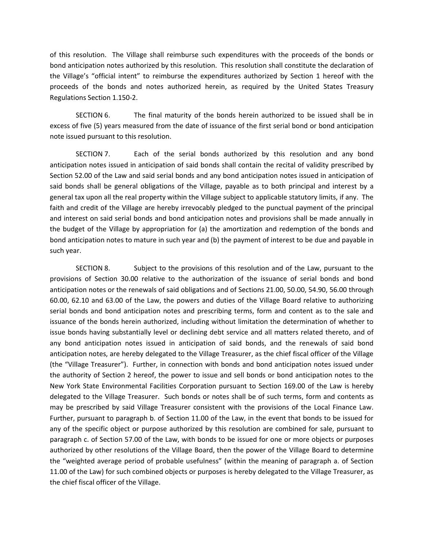of this resolution. The Village shall reimburse such expenditures with the proceeds of the bonds or bond anticipation notes authorized by this resolution. This resolution shall constitute the declaration of the Village's "official intent" to reimburse the expenditures authorized by Section 1 hereof with the proceeds of the bonds and notes authorized herein, as required by the United States Treasury Regulations Section 1.150-2.

SECTION 6. The final maturity of the bonds herein authorized to be issued shall be in excess of five (5) years measured from the date of issuance of the first serial bond or bond anticipation note issued pursuant to this resolution.

SECTION 7. Each of the serial bonds authorized by this resolution and any bond anticipation notes issued in anticipation of said bonds shall contain the recital of validity prescribed by Section 52.00 of the Law and said serial bonds and any bond anticipation notes issued in anticipation of said bonds shall be general obligations of the Village, payable as to both principal and interest by a general tax upon all the real property within the Village subject to applicable statutory limits, if any. The faith and credit of the Village are hereby irrevocably pledged to the punctual payment of the principal and interest on said serial bonds and bond anticipation notes and provisions shall be made annually in the budget of the Village by appropriation for (a) the amortization and redemption of the bonds and bond anticipation notes to mature in such year and (b) the payment of interest to be due and payable in such year.

SECTION 8. Subject to the provisions of this resolution and of the Law, pursuant to the provisions of Section 30.00 relative to the authorization of the issuance of serial bonds and bond anticipation notes or the renewals of said obligations and of Sections 21.00, 50.00, 54.90, 56.00 through 60.00, 62.10 and 63.00 of the Law, the powers and duties of the Village Board relative to authorizing serial bonds and bond anticipation notes and prescribing terms, form and content as to the sale and issuance of the bonds herein authorized, including without limitation the determination of whether to issue bonds having substantially level or declining debt service and all matters related thereto, and of any bond anticipation notes issued in anticipation of said bonds, and the renewals of said bond anticipation notes, are hereby delegated to the Village Treasurer, as the chief fiscal officer of the Village (the "Village Treasurer"). Further, in connection with bonds and bond anticipation notes issued under the authority of Section 2 hereof, the power to issue and sell bonds or bond anticipation notes to the New York State Environmental Facilities Corporation pursuant to Section 169.00 of the Law is hereby delegated to the Village Treasurer. Such bonds or notes shall be of such terms, form and contents as may be prescribed by said Village Treasurer consistent with the provisions of the Local Finance Law. Further, pursuant to paragraph b. of Section 11.00 of the Law, in the event that bonds to be issued for any of the specific object or purpose authorized by this resolution are combined for sale, pursuant to paragraph c. of Section 57.00 of the Law, with bonds to be issued for one or more objects or purposes authorized by other resolutions of the Village Board, then the power of the Village Board to determine the "weighted average period of probable usefulness" (within the meaning of paragraph a. of Section 11.00 of the Law) for such combined objects or purposes is hereby delegated to the Village Treasurer, as the chief fiscal officer of the Village.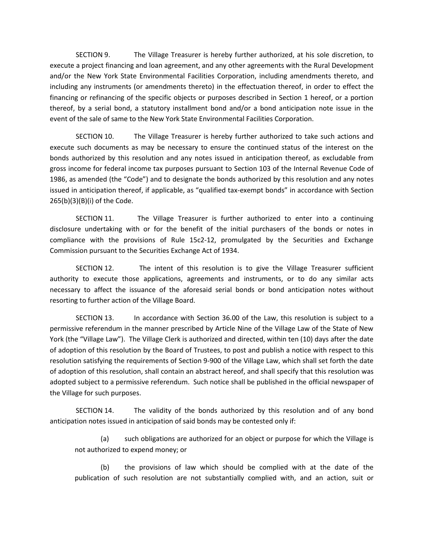SECTION 9. The Village Treasurer is hereby further authorized, at his sole discretion, to execute a project financing and loan agreement, and any other agreements with the Rural Development and/or the New York State Environmental Facilities Corporation, including amendments thereto, and including any instruments (or amendments thereto) in the effectuation thereof, in order to effect the financing or refinancing of the specific objects or purposes described in Section 1 hereof, or a portion thereof, by a serial bond, a statutory installment bond and/or a bond anticipation note issue in the event of the sale of same to the New York State Environmental Facilities Corporation.

SECTION 10. The Village Treasurer is hereby further authorized to take such actions and execute such documents as may be necessary to ensure the continued status of the interest on the bonds authorized by this resolution and any notes issued in anticipation thereof, as excludable from gross income for federal income tax purposes pursuant to Section 103 of the Internal Revenue Code of 1986, as amended (the "Code") and to designate the bonds authorized by this resolution and any notes issued in anticipation thereof, if applicable, as "qualified tax-exempt bonds" in accordance with Section 265(b)(3)(B)(i) of the Code.

SECTION 11. The Village Treasurer is further authorized to enter into a continuing disclosure undertaking with or for the benefit of the initial purchasers of the bonds or notes in compliance with the provisions of Rule 15c2-12, promulgated by the Securities and Exchange Commission pursuant to the Securities Exchange Act of 1934.

SECTION 12. The intent of this resolution is to give the Village Treasurer sufficient authority to execute those applications, agreements and instruments, or to do any similar acts necessary to affect the issuance of the aforesaid serial bonds or bond anticipation notes without resorting to further action of the Village Board.

SECTION 13. In accordance with Section 36.00 of the Law, this resolution is subject to a permissive referendum in the manner prescribed by Article Nine of the Village Law of the State of New York (the "Village Law"). The Village Clerk is authorized and directed, within ten (10) days after the date of adoption of this resolution by the Board of Trustees, to post and publish a notice with respect to this resolution satisfying the requirements of Section 9-900 of the Village Law, which shall set forth the date of adoption of this resolution, shall contain an abstract hereof, and shall specify that this resolution was adopted subject to a permissive referendum. Such notice shall be published in the official newspaper of the Village for such purposes.

SECTION 14. The validity of the bonds authorized by this resolution and of any bond anticipation notes issued in anticipation of said bonds may be contested only if:

(a) such obligations are authorized for an object or purpose for which the Village is not authorized to expend money; or

(b) the provisions of law which should be complied with at the date of the publication of such resolution are not substantially complied with, and an action, suit or